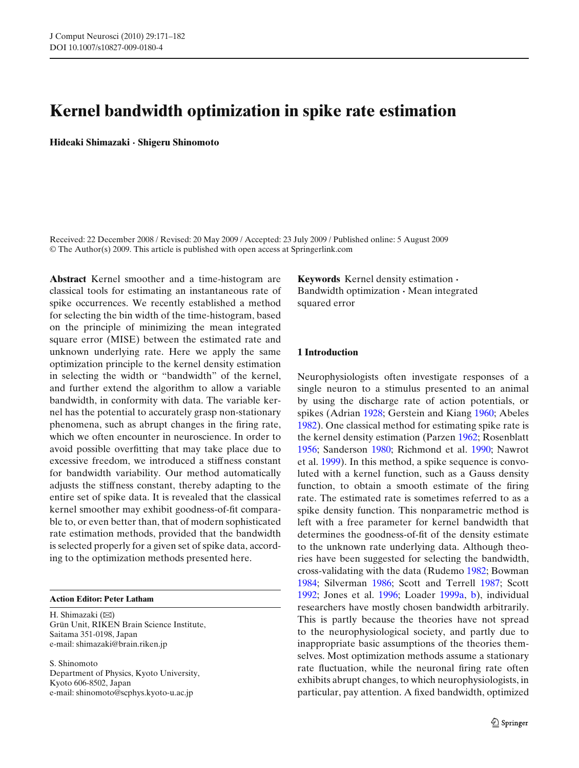# **Kernel bandwidth optimization in spike rate estimation**

**Hideaki Shimazaki · Shigeru Shinomoto**

Received: 22 December 2008 / Revised: 20 May 2009 / Accepted: 23 July 2009 / Published online: 5 August 2009 © The Author(s) 2009. This article is published with open access at Springerlink.com

**Abstract** Kernel smoother and a time-histogram are classical tools for estimating an instantaneous rate of spike occurrences. We recently established a method for selecting the bin width of the time-histogram, based on the principle of minimizing the mean integrated square error (MISE) between the estimated rate and unknown underlying rate. Here we apply the same optimization principle to the kernel density estimation in selecting the width or "bandwidth" of the kernel, and further extend the algorithm to allow a variable bandwidth, in conformity with data. The variable kernel has the potential to accurately grasp non-stationary phenomena, such as abrupt changes in the firing rate, which we often encounter in neuroscience. In order to avoid possible overfitting that may take place due to excessive freedom, we introduced a stiffness constant for bandwidth variability. Our method automatically adjusts the stiffness constant, thereby adapting to the entire set of spike data. It is revealed that the classical kernel smoother may exhibit goodness-of-fit comparable to, or even better than, that of modern sophisticated rate estimation methods, provided that the bandwidth is selected properly for a given set of spike data, according to the optimization methods presented here.

### **Action Editor: Peter Latham**

H. Shimazaki  $(\boxtimes)$ Grün Unit, RIKEN Brain Science Institute, Saitama 351-0198, Japan e-mail: shimazaki@brain.riken.jp

S. Shinomoto Department of Physics, Kyoto University, Kyoto 606-8502, Japan e-mail: shinomoto@scphys.kyoto-u.ac.jp

**Keywords** Kernel density estimation **·** Bandwidth optimization **·** Mean integrated squared error

### **1 Introduction**

Neurophysiologists often investigate responses of a single neuron to a stimulus presented to an animal by using the discharge rate of action potentials, or spikes (Adria[n](#page-10-0) [1928;](#page-10-0) Gerstein and Kian[g](#page-10-0) [1960](#page-10-0); Abele[s](#page-10-0) [1982](#page-10-0)). One classical method for estimating spike rate is the kernel density estimation (Parze[n](#page-10-0) [1962](#page-10-0); Rosenblat[t](#page-10-0) [1956](#page-10-0); Sanderso[n](#page-11-0) [1980](#page-11-0); Richmond et al[.](#page-10-0) [1990;](#page-10-0) Nawrot et al[.](#page-10-0) [1999](#page-10-0)). In this method, a spike sequence is convoluted with a kernel function, such as a Gauss density function, to obtain a smooth estimate of the firing rate. The estimated rate is sometimes referred to as a spike density function. This nonparametric method is left with a free parameter for kernel bandwidth that determines the goodness-of-fit of the density estimate to the unknown rate underlying data. Although theories have been suggested for selecting the bandwidth, cross-validating with the data (Rudem[o](#page-10-0) [1982](#page-10-0); Bowma[n](#page-10-0) [1984](#page-10-0); Silverma[n](#page-11-0) [1986;](#page-11-0) Scott and Terrel[l](#page-11-0) [1987](#page-11-0); Scot[t](#page-11-0) [1992](#page-11-0); Jones et al[.](#page-10-0) [1996;](#page-10-0) Loade[r](#page-10-0) [1999a,](#page-10-0) [b\)](#page-10-0), individual researchers have mostly chosen bandwidth arbitrarily. This is partly because the theories have not spread to the neurophysiological society, and partly due to inappropriate basic assumptions of the theories themselves. Most optimization methods assume a stationary rate fluctuation, while the neuronal firing rate often exhibits abrupt changes, to which neurophysiologists, in particular, pay attention. A fixed bandwidth, optimized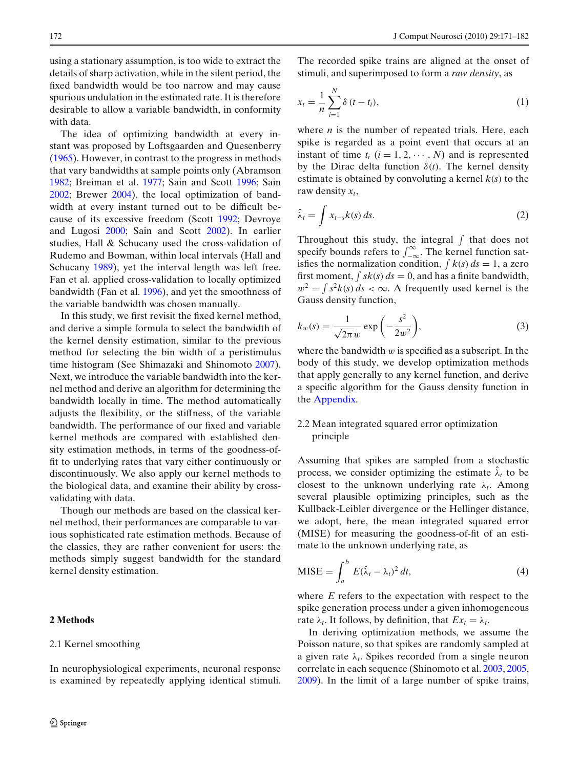<span id="page-1-0"></span>using a stationary assumption, is too wide to extract the details of sharp activation, while in the silent period, the fixed bandwidth would be too narrow and may cause spurious undulation in the estimated rate. It is therefore desirable to allow a variable bandwidth, in conformity with data.

The idea of optimizing bandwidth at every instant was proposed by Loftsgaarden and Quesenberr[y](#page-10-0) [\(1965\)](#page-10-0). However, in contrast to the progress in methods that vary bandwidths at sample points only (Abramso[n](#page-10-0) [1982](#page-10-0); Breiman et al[.](#page-10-0) [1977;](#page-10-0) Sain and Scot[t](#page-11-0) [1996;](#page-11-0) Sai[n](#page-11-0) [2002](#page-11-0); Brewe[r](#page-10-0) [2004](#page-10-0)), the local optimization of bandwidth at every instant turned out to be difficult because of its excessive freedom (Scot[t](#page-11-0) [1992](#page-11-0); Devroye and Lugos[i](#page-10-0) [2000;](#page-10-0) Sain and Scot[t](#page-11-0) [2002\)](#page-11-0). In earlier studies, Hall & Schucany used the cross-validation of Rudemo and Bowman, within local intervals (Hall and Schucan[y](#page-10-0) [1989](#page-10-0)), yet the interval length was left free. Fan et al. applied cross-validation to locally optimized bandwidth (Fan et al[.](#page-10-0) [1996\)](#page-10-0), and yet the smoothness of the variable bandwidth was chosen manually.

In this study, we first revisit the fixed kernel method, and derive a simple formula to select the bandwidth of the kernel density estimation, similar to the previous method for selecting the bin width of a peristimulus time histogram (See Shimazaki and Shinomot[o](#page-11-0) [2007\)](#page-11-0). Next, we introduce the variable bandwidth into the kernel method and derive an algorithm for determining the bandwidth locally in time. The method automatically adjusts the flexibility, or the stiffness, of the variable bandwidth. The performance of our fixed and variable kernel methods are compared with established density estimation methods, in terms of the goodness-offit to underlying rates that vary either continuously or discontinuously. We also apply our kernel methods to the biological data, and examine their ability by crossvalidating with data.

Though our methods are based on the classical kernel method, their performances are comparable to various sophisticated rate estimation methods. Because of the classics, they are rather convenient for users: the methods simply suggest bandwidth for the standard kernel density estimation.

# **2 Methods**

#### 2.1 Kernel smoothing

In neurophysiological experiments, neuronal response is examined by repeatedly applying identical stimuli.

The recorded spike trains are aligned at the onset of stimuli, and superimposed to form a *raw density*, as

$$
x_t = \frac{1}{n} \sum_{i=1}^{N} \delta(t - t_i),
$$
\n(1)

where *n* is the number of repeated trials. Here, each spike is regarded as a point event that occurs at an instant of time  $t_i$   $(i = 1, 2, \dots, N)$  and is represented by the Dirac delta function  $\delta(t)$ . The kernel density estimate is obtained by convoluting a kernel  $k(s)$  to the raw density  $x_t$ ,

$$
\hat{\lambda}_t = \int x_{t-s} k(s) \, ds. \tag{2}
$$

Throughout this study, the integral  $\int$  that does not specify bounds refers to  $\int_{-\infty}^{\infty}$ . The kernel function satisfies the normalization condition,  $\int k(s) ds = 1$ , a zero first moment,  $\int s k(s) ds = 0$ , and has a finite bandwidth,  $w^2 = \int s^2k(s) ds < \infty$ . A frequently used kernel is the Gauss density function,

$$
k_w(s) = \frac{1}{\sqrt{2\pi}w} \exp\left(-\frac{s^2}{2w^2}\right),\tag{3}
$$

where the bandwidth  $w$  is specified as a subscript. In the body of this study, we develop optimization methods that apply generally to any kernel function, and derive a specific algorithm for the Gauss density function in the [Appendix.](#page-9-0)

# 2.2 Mean integrated squared error optimization principle

Assuming that spikes are sampled from a stochastic process, we consider optimizing the estimate  $\hat{\lambda}_t$  to be closest to the unknown underlying rate  $\lambda_t$ . Among several plausible optimizing principles, such as the Kullback-Leibler divergence or the Hellinger distance, we adopt, here, the mean integrated squared error (MISE) for measuring the goodness-of-fit of an estimate to the unknown underlying rate, as

$$
MISE = \int_{a}^{b} E(\hat{\lambda}_{t} - \lambda_{t})^{2} dt,
$$
\n(4)

where *E* refers to the expectation with respect to the spike generation process under a given inhomogeneous rate  $\lambda_t$ . It follows, by definition, that  $Ex_t = \lambda_t$ .

In deriving optimization methods, we assume the Poisson nature, so that spikes are randomly sampled at a given rate  $\lambda_t$ . Spikes recorded from a single neuron correlate in each sequence (Shinomoto et al[.](#page-11-0) [2003](#page-11-0), [2005,](#page-11-0) [2009](#page-11-0)). In the limit of a large number of spike trains,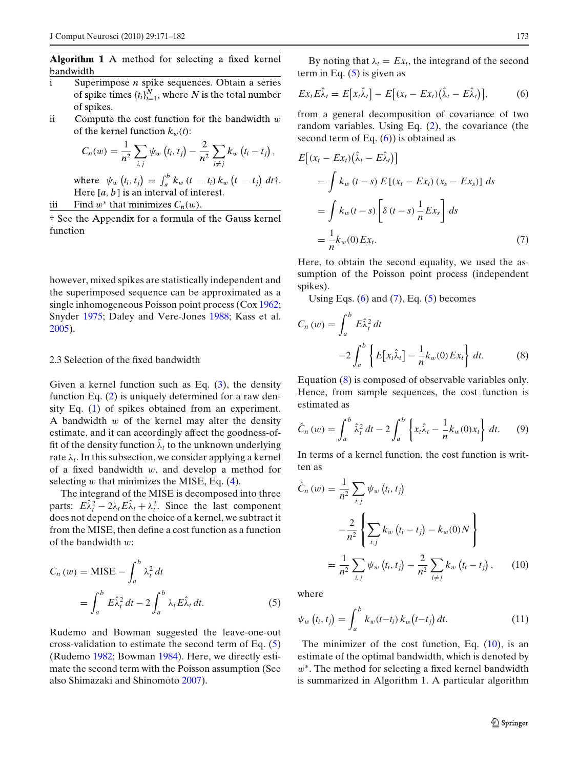<span id="page-2-0"></span>Algorithm 1 A method for selecting a fixed kernel bandwidth

- Superimpose  $n$  spike sequences. Obtain a series  $\mathbf{i}$ of spike times  $\{t_i\}_{i=1}^N$ , where N is the total number of spikes.
- ii Compute the cost function for the bandwidth  $w$ of the kernel function  $k_w(t)$ :

$$
C_n(w) = \frac{1}{n^2} \sum_{i,j} \psi_w(t_i, t_j) - \frac{2}{n^2} \sum_{i \neq j} k_w(t_i - t_j),
$$

where  $\psi_w(t_i, t_j) = \int_a^b k_w (t - t_i) k_w (t - t_j) dt$ . Here  $[a, b]$  is an interval of interest.

iii Find  $w^*$  that minimizes  $C_n(w)$ .

† See the Appendix for a formula of the Gauss kernel function

however, mixed spikes are statistically independent and the superimposed sequence can be approximated as a single inhomogeneous Poisson point process (Co[x](#page-10-0) [1962;](#page-10-0) Snyde[r](#page-11-0) [1975;](#page-11-0) Daley and Vere-Jone[s](#page-10-0) [1988;](#page-10-0) Kass et al[.](#page-10-0) [2005](#page-10-0)).

### 2.3 Selection of the fixed bandwidth

Given a kernel function such as Eq.  $(3)$ , the density function Eq. [\(2\)](#page-1-0) is uniquely determined for a raw density Eq. [\(1\)](#page-1-0) of spikes obtained from an experiment. A bandwidth  $w$  of the kernel may alter the density estimate, and it can accordingly affect the goodness-offit of the density function  $\hat{\lambda}_t$  to the unknown underlying rate  $\lambda_t$ . In this subsection, we consider applying a kernel of a fixed bandwidth  $w$ , and develop a method for selecting  $w$  that minimizes the MISE, Eq.  $(4)$ .

The integrand of the MISE is decomposed into three parts:  $E \hat{\lambda}_t^2 - 2\lambda_t E \hat{\lambda}_t + \lambda_t^2$ . Since the last component does not depend on the choice of a kernel, we subtract it from the MISE, then define a cost function as a function of the bandwidth  $w$ :

$$
C_n(w) = \text{MISE} - \int_a^b \lambda_t^2 dt
$$
  
= 
$$
\int_a^b E \hat{\lambda}_t^2 dt - 2 \int_a^b \lambda_t E \hat{\lambda}_t dt.
$$
 (5)

Rudemo and Bowman suggested the leave-one-out cross-validation to estimate the second term of Eq. (5) (Rudem[o](#page-10-0) [1982;](#page-10-0) Bowma[n](#page-10-0) [1984\)](#page-10-0). Here, we directly estimate the second term with the Poisson assumption (See also Shimazaki and Shinomot[o](#page-11-0) [2007](#page-11-0)).

By noting that  $\lambda_t = Ex_t$ , the integrand of the second term in Eq.  $(5)$  is given as

$$
Ex_t E\hat{\lambda}_t = E[x_t \hat{\lambda}_t] - E[(x_t - Ex_t)(\hat{\lambda}_t - E\hat{\lambda}_t)], \qquad (6)
$$

from a general decomposition of covariance of two random variables. Using Eq. [\(2\)](#page-1-0), the covariance (the second term of Eq.  $(6)$ ) is obtained as

$$
E[(x_t - Ex_t)(\hat{\lambda}_t - E\hat{\lambda}_t)]
$$
  
=  $\int k_w (t - s) E[(x_t - Ex_t)(x_s - Ex_s)] ds$   
=  $\int k_w (t - s) \left[ \delta (t - s) \frac{1}{n} Ex_s \right] ds$   
=  $\frac{1}{n} k_w (0) Ex_t.$  (7)

Here, to obtain the second equality, we used the assumption of the Poisson point process (independent spikes).

Using Eqs.  $(6)$  and  $(7)$ , Eq.  $(5)$  becomes

$$
C_n(w) = \int_a^b E \hat{\lambda}_t^2 dt
$$
  

$$
-2 \int_a^b \left\{ E[x_t \hat{\lambda}_t] - \frac{1}{n} k_w(0) E x_t \right\} dt.
$$
 (8)

Equation (8) is composed of observable variables only. Hence, from sample sequences, the cost function is estimated as

$$
\hat{C}_n(w) = \int_a^b \hat{\lambda}_t^2 dt - 2 \int_a^b \left\{ x_t \hat{\lambda}_t - \frac{1}{n} k_w(0) x_t \right\} dt. \tag{9}
$$

In terms of a kernel function, the cost function is written as

$$
\hat{C}_n (w) = \frac{1}{n^2} \sum_{i,j} \psi_w (t_i, t_j)
$$

$$
- \frac{2}{n^2} \left\{ \sum_{i,j} k_w (t_i - t_j) - k_w(0) N \right\}
$$

$$
= \frac{1}{n^2} \sum_{i,j} \psi_w (t_i, t_j) - \frac{2}{n^2} \sum_{i \neq j} k_w (t_i - t_j), \qquad (10)
$$

where

$$
\psi_w(t_i, t_j) = \int_a^b k_w(t - t_i) k_w(t - t_j) dt.
$$
\n(11)

The minimizer of the cost function, Eq.  $(10)$ , is an estimate of the optimal bandwidth, which is denoted by  $w^*$ . The method for selecting a fixed kernel bandwidth is summarized in Algorithm 1. A particular algorithm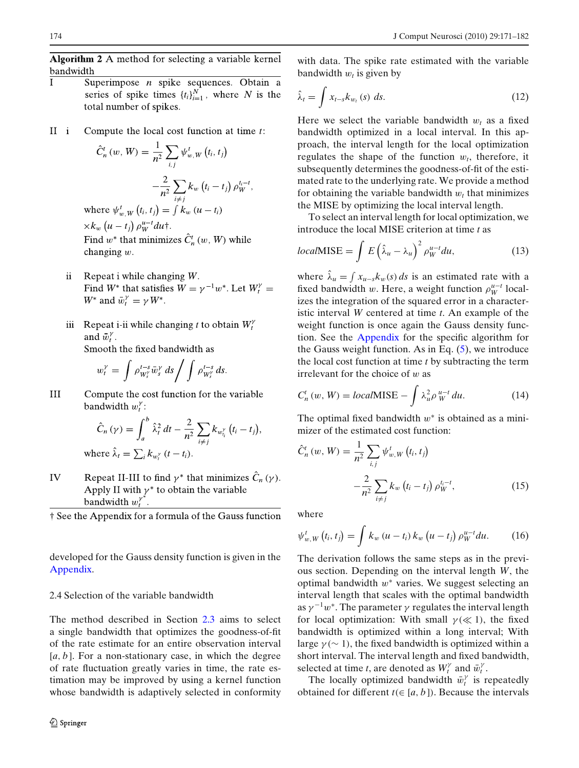<span id="page-3-0"></span>Algorithm 2 A method for selecting a variable kernel bandwidth

- Superimpose *n* spike sequences. Obtain a T series of spike times  $\{t_i\}_{i=1}^N$ , where N is the total number of spikes.
- $II i$ Compute the local cost function at time  $t$ :

$$
\hat{C}_n^t(w, W) = \frac{1}{n^2} \sum_{i,j} \psi_{w, W}^t(t_i, t_j)
$$

$$
-\frac{2}{n^2} \sum_{i \neq j} k_w (t_i - t_j) \rho_W^{t_i - t}
$$
where  $\psi_{w, W}^t(t_i, t_j) = \int k_w (u - t_i)$ 

 $\times k_w (u - t_i) \rho_W^{u - t} du$ ; Find  $w^*$  that minimizes  $\hat{C}_n^t(w, W)$  while changing  $w$ .

- Repeat i while changing  $W$ . ii. Find  $W^*$  that satisfies  $W = \gamma^{-1} w^*$ . Let  $W_t^{\gamma} =$  $W^*$  and  $\bar{w}_t^{\gamma} = \gamma W^*$ .
- Repeat i-ii while changing t to obtain  $W_t^{\gamma}$ iii and  $\bar{w}_t^{\gamma}$ .

Smooth the fixed bandwidth as

$$
w_t^{\gamma} = \int \rho_{W_s^{\gamma}}^{t-s} \bar{w}_s^{\gamma} ds / \int \rho_{W_s^{\gamma}}^{t-s} ds.
$$

 $III$ Compute the cost function for the variable bandwidth  $w_t^{\gamma}$ :

$$
\hat{C}_n(\gamma) = \int_a^b \hat{\lambda}_t^2 dt - \frac{2}{n^2} \sum_{i \neq j} k_{w_i^{\gamma}} (t_i - t_j).
$$
  
where  $\hat{\lambda}_t = \sum_i k_{w_i^{\gamma}} (t - t_i).$ 

IV Repeat II-III to find  $\gamma^*$  that minimizes  $\hat{C}_n(\gamma)$ . Apply II with  $\gamma^*$  to obtain the variable bandwidth  $w_t^{\gamma^*}$ .

† See the Appendix for a formula of the Gauss function

developed for the Gauss density function is given in the [Appendix.](#page-9-0)

# 2.4 Selection of the variable bandwidth

The method described in Section [2.3](#page-2-0) aims to select a single bandwidth that optimizes the goodness-of-fit of the rate estimate for an entire observation interval [a, b]. For a non-stationary case, in which the degree of rate fluctuation greatly varies in time, the rate estimation may be improved by using a kernel function whose bandwidth is adaptively selected in conformity

with data. The spike rate estimated with the variable bandwidth  $w_t$  is given by

$$
\hat{\lambda}_t = \int x_{t-s} k_{w_t}(s) \ ds. \tag{12}
$$

Here we select the variable bandwidth  $w_t$  as a fixed bandwidth optimized in a local interval. In this approach, the interval length for the local optimization regulates the shape of the function  $w_t$ , therefore, it subsequently determines the goodness-of-fit of the estimated rate to the underlying rate. We provide a method for obtaining the variable bandwidth  $w_t$  that minimizes the MISE by optimizing the local interval length.

To select an interval length for local optimization, we introduce the local MISE criterion at time *t* as

$$
localMISE = \int E \left(\hat{\lambda}_u - \lambda_u\right)^2 \rho_W^{u-t} du,
$$
\n(13)

where  $\hat{\lambda}_u = \int x_{u-s} k_w(s) ds$  is an estimated rate with a fixed bandwidth w. Here, a weight function  $\rho_W^{u-t}$  localizes the integration of the squared error in a characteristic interval *W* centered at time *t*. An example of the weight function is once again the Gauss density function. See the [Appendix](#page-9-0) for the specific algorithm for the Gauss weight function. As in Eq.  $(5)$ , we introduce the local cost function at time *t* by subtracting the term irrelevant for the choice of  $w$  as

$$
C_n^t(w, W) = localMISE - \int \lambda_u^2 \rho_W^{u-t} du.
$$
 (14)

The optimal fixed bandwidth  $w^*$  is obtained as a minimizer of the estimated cost function:

$$
\hat{C}_{n}^{t}(w, W) = \frac{1}{n^{2}} \sum_{i,j} \psi_{w, W}^{t}(t_{i}, t_{j}) -\frac{2}{n^{2}} \sum_{i \neq j} k_{w} (t_{i} - t_{j}) \rho_{W}^{t_{i} - t},
$$
\n(15)

where

$$
\psi_{w,W}^t(t_i,t_j) = \int k_w (u-t_i) k_w (u-t_j) \rho_W^{u-t} du. \qquad (16)
$$

The derivation follows the same steps as in the previous section. Depending on the interval length *W*, the optimal bandwidth  $w^*$  varies. We suggest selecting an interval length that scales with the optimal bandwidth as  $\gamma^{-1}w^*$ . The parameter  $\gamma$  regulates the interval length for local optimization: With small  $\gamma \ll 1$ , the fixed bandwidth is optimized within a long interval; With large  $\gamma$  ( $\sim$  1), the fixed bandwidth is optimized within a short interval. The interval length and fixed bandwidth, selected at time *t*, are denoted as  $W_t^{\gamma}$  and  $\bar{w}_t^{\gamma}$ .

The locally optimized bandwidth  $\bar{w}_t^{\gamma}$  is repeatedly obtained for different  $t \in [a, b]$ ). Because the intervals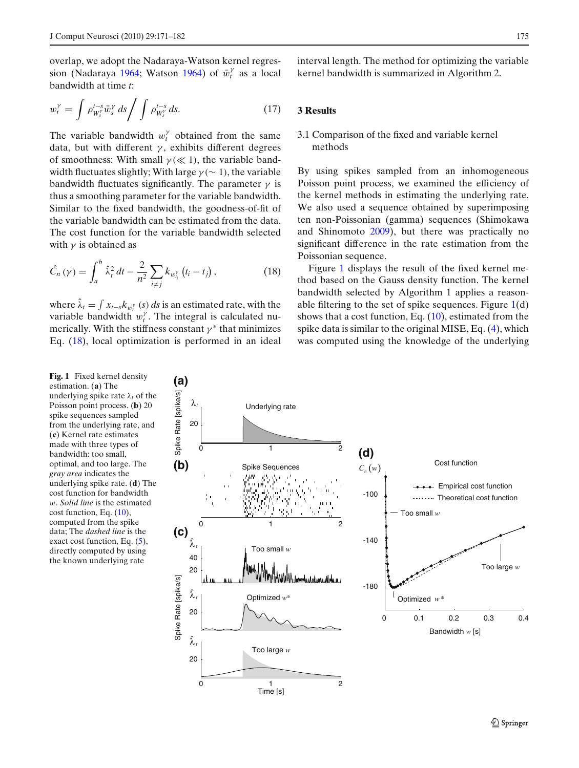<span id="page-4-0"></span>overlap, we adopt the Nadaraya-Watson kernel regression (N[a](#page-10-0)daraya [1964](#page-10-0); Watso[n](#page-11-0) [1964\)](#page-11-0) of  $\bar{w}_t^{\gamma}$  as a local bandwidth at time *t*:

$$
w_t^{\gamma} = \int \rho_{W_s^{\gamma}}^{t-s} \bar{w}_s^{\gamma} ds / \int \rho_{W_s^{\gamma}}^{t-s} ds. \tag{17}
$$

The variable bandwidth  $w_t^{\gamma}$  obtained from the same data, but with different  $\gamma$ , exhibits different degrees of smoothness: With small  $\gamma \ll 1$ ), the variable bandwidth fluctuates slightly; With large  $\gamma$  ( $\sim$  1), the variable bandwidth fluctuates significantly. The parameter  $\gamma$  is thus a smoothing parameter for the variable bandwidth. Similar to the fixed bandwidth, the goodness-of-fit of the variable bandwidth can be estimated from the data. The cost function for the variable bandwidth selected with  $\gamma$  is obtained as

$$
\hat{C}_n(\gamma) = \int_a^b \hat{\lambda}_t^2 dt - \frac{2}{n^2} \sum_{i \neq j} k_{w_{t_i}^{\gamma}} (t_i - t_j), \qquad (18)
$$

where  $\hat{\lambda}_t = \int x_{t-s} k_{w_t^{\gamma}}(s) ds$  is an estimated rate, with the variable bandwidth  $w_t^{\gamma}$ . The integral is calculated numerically. With the stiffness constant  $\gamma^*$  that minimizes Eq. (18), local optimization is performed in an ideal interval length. The method for optimizing the variable kernel bandwidth is summarized in Algorithm 2.

# **3 Results**

# 3.1 Comparison of the fixed and variable kernel methods

By using spikes sampled from an inhomogeneous Poisson point process, we examined the efficiency of the kernel methods in estimating the underlying rate. We also used a sequence obtained by superimposing ten non-Poissonian (gamma) sequences (Shimokawa and Shinomot[o](#page-11-0) [2009](#page-11-0)), but there was practically no significant difference in the rate estimation from the Poissonian sequence.

Figure 1 displays the result of the fixed kernel method based on the Gauss density function. The kernel bandwidth selected by Algorithm 1 applies a reasonable filtering to the set of spike sequences. Figure  $1(d)$ shows that a cost function, Eq. [\(10\)](#page-2-0), estimated from the spike data is similar to the original MISE, Eq. [\(4\)](#page-1-0), which was computed using the knowledge of the underlying

**Fig. 1** Fixed kernel density estimation. (**a**) The underlying spike rate  $\lambda_t$  of the Poisson point process. (**b**) 20 spike sequences sampled from the underlying rate, and (**c**) Kernel rate estimates made with three types of bandwidth: too small, optimal, and too large. The *gray area* indicates the underlying spike rate. (**d**) The cost function for bandwidth w. *Solid line* is the estimated cost function, Eq. [\(10\)](#page-2-0), computed from the spike data; The *dashed line* is the exact cost function, Eq.  $(5)$ , directly computed by using the known underlying rate

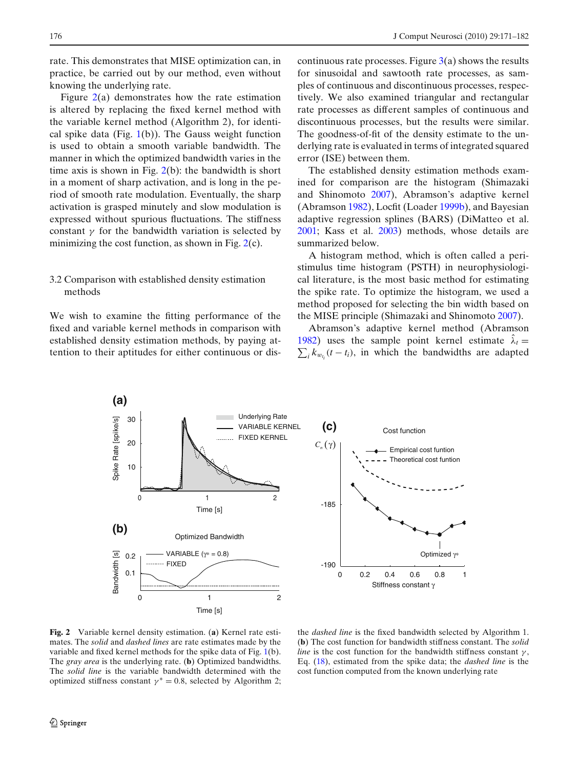<span id="page-5-0"></span>rate. This demonstrates that MISE optimization can, in practice, be carried out by our method, even without knowing the underlying rate.

Figure 2(a) demonstrates how the rate estimation is altered by replacing the fixed kernel method with the variable kernel method (Algorithm 2), for identical spike data (Fig.  $1(b)$  $1(b)$ ). The Gauss weight function is used to obtain a smooth variable bandwidth. The manner in which the optimized bandwidth varies in the time axis is shown in Fig.  $2(b)$ : the bandwidth is short in a moment of sharp activation, and is long in the period of smooth rate modulation. Eventually, the sharp activation is grasped minutely and slow modulation is expressed without spurious fluctuations. The stiffness constant  $\gamma$  for the bandwidth variation is selected by minimizing the cost function, as shown in Fig.  $2(c)$ .

# 3.2 Comparison with established density estimation methods

We wish to examine the fitting performance of the fixed and variable kernel methods in comparison with established density estimation methods, by paying attention to their aptitudes for either continuous or discontinuous rate processes. Figure  $3(a)$  $3(a)$  shows the results for sinusoidal and sawtooth rate processes, as samples of continuous and discontinuous processes, respectively. We also examined triangular and rectangular rate processes as different samples of continuous and discontinuous processes, but the results were similar. The goodness-of-fit of the density estimate to the underlying rate is evaluated in terms of integrated squared error (ISE) between them.

The established density estimation methods examined for comparison are the histogram (Shimazaki and Shinomoto [2007](#page-11-0)), Abramson's adaptive kernel (Abramso[n](#page-10-0) [1982](#page-10-0)), Locfit (Loade[r](#page-10-0) [1999b\)](#page-10-0), and Bayesian adaptive regression splines (BARS) (DiMatteo et al[.](#page-10-0) [2001](#page-10-0); Kass et al[.](#page-10-0) [2003\)](#page-10-0) methods, whose details are summarized below.

A histogram method, which is often called a peristimulus time histogram (PSTH) in neurophysiological literature, is the most basic method for estimating the spike rate. To optimize the histogram, we used a method proposed for selecting the bin width based on the MISE principle (Shimazaki and Shinomot[o](#page-11-0) [2007](#page-11-0)).

Abramson's adaptive kernel method (Abramso[n](#page-10-0) [1982](#page-10-0)) uses the sample point kernel estimate  $\lambda_t =$ 1982) uses the sample point kernel estimate  $\lambda_t = \sum_i k_{w_{t_i}}(t - t_i)$ , in which the bandwidths are adapted

Time [s] **Fig. 2** Variable kernel density estimation. (**a**) Kernel rate estimates. The *solid* and *dashed lines* are rate estimates made by the variable and fixed kernel methods for the spike data of Fig. [1\(](#page-4-0)b). The *gray area* is the underlying rate. (**b**) Optimized bandwidths. The *solid line* is the variable bandwidth determined with the optimized stiffness constant  $\gamma^* = 0.8$ , selected by Algorithm 2;

the *dashed line* is the fixed bandwidth selected by Algorithm 1. (**b**) The cost function for bandwidth stiffness constant. The *solid line* is the cost function for the bandwidth stiffness constant  $\gamma$ , Eq. [\(18\)](#page-4-0), estimated from the spike data; the *dashed line* is the cost function computed from the known underlying rate

Optimized γ∗

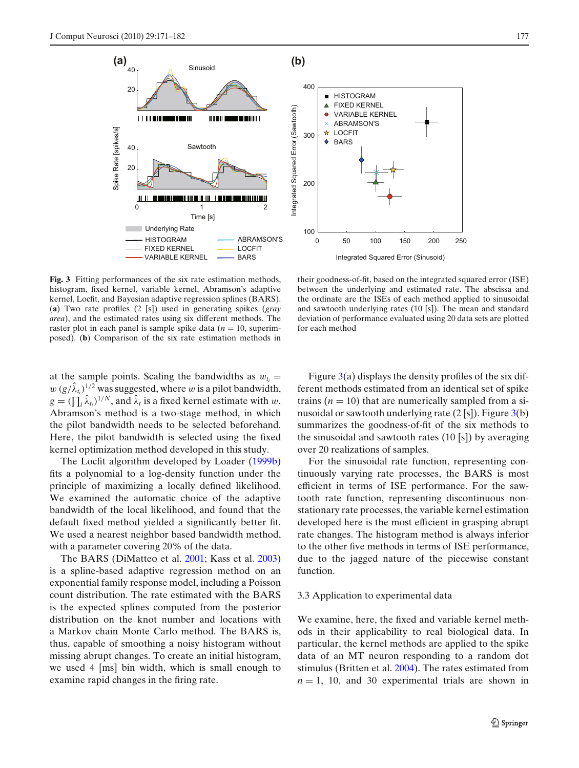<span id="page-6-0"></span>



**Fig. 3** Fitting performances of the six rate estimation methods, histogram, fixed kernel, variable kernel, Abramson's adaptive kernel, Locfit, and Bayesian adaptive regression splines (BARS). (**a**) Two rate profiles (2 [s]) used in generating spikes (*gray area*), and the estimated rates using six different methods. The raster plot in each panel is sample spike data  $(n = 10)$ , superimposed). (**b**) Comparison of the six rate estimation methods in

their goodness-of-fit, based on the integrated squared error (ISE) between the underlying and estimated rate. The abscissa and the ordinate are the ISEs of each method applied to sinusoidal and sawtooth underlying rates (10 [s]). The mean and standard deviation of performance evaluated using 20 data sets are plotted for each method

at the sample points. Scaling the bandwidths as  $w_t =$  $w (g/\hat{\lambda}_{t_i})^{1/2}$  was suggested, where w is a pilot bandwidth,  $g = (\prod_i \hat{\lambda}_{t_i})^{1/N}$ , and  $\hat{\lambda}_t$  is a fixed kernel estimate with w. Abramson's method is a two-stage method, in which the pilot bandwidth needs to be selected beforehand. Here, the pilot bandwidth is selected using the fixed kernel optimization method developed in this study.

The Locfit algorithm developed by Loade[r](#page-10-0) [\(1999b](#page-10-0)) fits a polynomial to a log-density function under the principle of maximizing a locally defined likelihood. We examined the automatic choice of the adaptive bandwidth of the local likelihood, and found that the default fixed method yielded a significantly better fit. We used a nearest neighbor based bandwidth method, with a parameter covering 20% of the data.

The BARS (DiMatteo et al[.](#page-10-0) [2001](#page-10-0); Kass et al[.](#page-10-0) [2003](#page-10-0)) is a spline-based adaptive regression method on an exponential family response model, including a Poisson count distribution. The rate estimated with the BARS is the expected splines computed from the posterior distribution on the knot number and locations with a Markov chain Monte Carlo method. The BARS is, thus, capable of smoothing a noisy histogram without missing abrupt changes. To create an initial histogram, we used 4 [ms] bin width, which is small enough to examine rapid changes in the firing rate.

Figure  $3(a)$  displays the density profiles of the six different methods estimated from an identical set of spike trains  $(n = 10)$  that are numerically sampled from a sinusoidal or sawtooth underlying rate  $(2 \text{ [s]})$ . Figure  $3(b)$ summarizes the goodness-of-fit of the six methods to the sinusoidal and sawtooth rates (10 [s]) by averaging over 20 realizations of samples.

For the sinusoidal rate function, representing continuously varying rate processes, the BARS is most efficient in terms of ISE performance. For the sawtooth rate function, representing discontinuous nonstationary rate processes, the variable kernel estimation developed here is the most efficient in grasping abrupt rate changes. The histogram method is always inferior to the other five methods in terms of ISE performance, due to the jagged nature of the piecewise constant function.

#### 3.3 Application to experimental data

We examine, here, the fixed and variable kernel methods in their applicability to real biological data. In particular, the kernel methods are applied to the spike data of an MT neuron responding to a random dot stimulus (Britten et al[.](#page-10-0) [2004](#page-10-0)). The rates estimated from  $n = 1$ , 10, and 30 experimental trials are shown in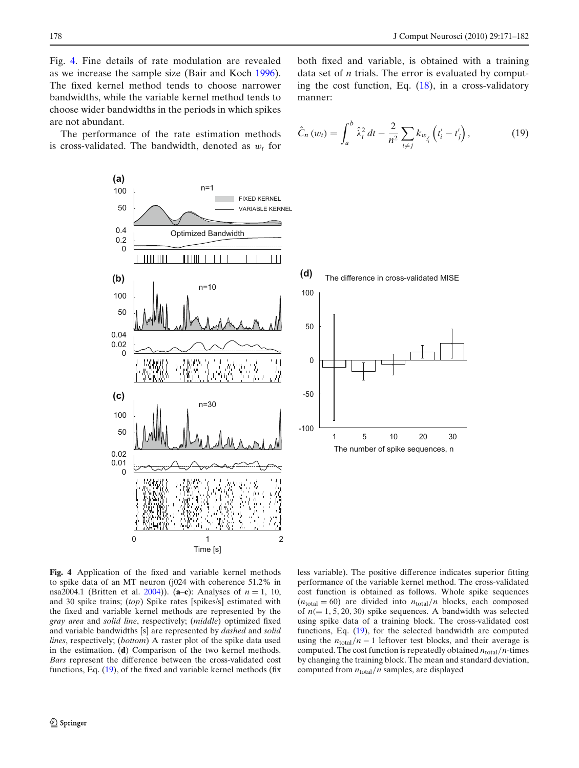$\left(t'_{i}-t'_{j}\right)$ 

 $(19)$ 

both fixed and variable, is obtained with a training data set of *n* trials. The error is evaluated by computing the cost function, Eq.  $(18)$ , in a cross-validatory

 $\sum_{i \neq j} k_{w_{t_i}}$ 

<span id="page-7-0"></span>Fig. 4. Fine details of rate modulation are revealed as we increase the sample size (Bair and Koc[h](#page-10-0) [1996\)](#page-10-0). The fixed kernel method tends to choose narrower bandwidths, while the variable kernel method tends to choose wider bandwidths in the periods in which spikes are not abundant.

The performance of the rate estimation methods is cross-validated. The bandwidth, denoted as  $w_t$  for



manner:

 $\hat{C}_n(w_t) = \int_0^b$ 

*a*

 $\hat{\lambda}_t^2 dt - \frac{2}{n^2} \sum_{i \neq i}$ 

**Fig. 4** Application of the fixed and variable kernel methods to spike data of an MT neuron (j024 with coherence 51.2% in nsa2004.1 (Britten et al[.](#page-10-0) [2004](#page-10-0))). (**a**–**c**): Analyses of *n* = 1, 10, and 30 spike trains; (*top*) Spike rates [spikes/s] estimated with the fixed and variable kernel methods are represented by the *gray area* and *solid line*, respectively; (*middle*) optimized fixed and variable bandwidths [s] are represented by *dashed* and *solid lines*, respectively; (*bottom*) A raster plot of the spike data used in the estimation. (**d**) Comparison of the two kernel methods. *Bars* represent the difference between the cross-validated cost functions, Eq. (19), of the fixed and variable kernel methods (fix

less variable). The positive difference indicates superior fitting performance of the variable kernel method. The cross-validated cost function is obtained as follows. Whole spike sequences  $(n_{\text{total}} = 60)$  are divided into  $n_{\text{total}}/n$  blocks, each composed of  $n (= 1, 5, 20, 30)$  spike sequences. A bandwidth was selected using spike data of a training block. The cross-validated cost functions, Eq. (19), for the selected bandwidth are computed using the  $n_{\text{total}}/n - 1$  leftover test blocks, and their average is computed. The cost function is repeatedly obtained  $n_{\text{total}}/n$ -times by changing the training block. The mean and standard deviation, computed from *n*total/*n* samples, are displayed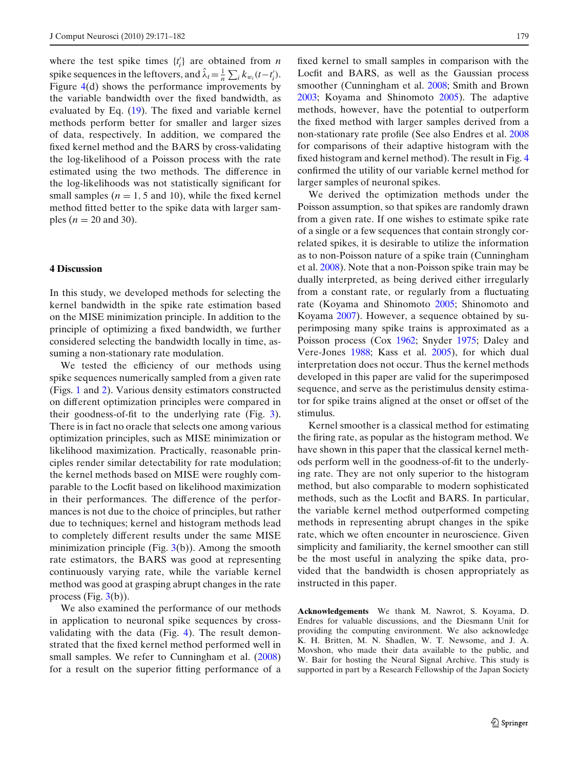where the test spike times  $\{t_i\}$  are obtained from *n* spike sequences in the leftovers, and  $\hat{\lambda}_t = \frac{1}{n} \sum_i k_{w_t} (t - t'_i)$ . Figure [4\(](#page-7-0)d) shows the performance improvements by the variable bandwidth over the fixed bandwidth, as evaluated by Eq. [\(19\)](#page-7-0). The fixed and variable kernel methods perform better for smaller and larger sizes of data, respectively. In addition, we compared the fixed kernel method and the BARS by cross-validating the log-likelihood of a Poisson process with the rate estimated using the two methods. The difference in the log-likelihoods was not statistically significant for small samples  $(n = 1, 5 \text{ and } 10)$ , while the fixed kernel method fitted better to the spike data with larger samples ( $n = 20$  and 30).

# **4 Discussion**

In this study, we developed methods for selecting the kernel bandwidth in the spike rate estimation based on the MISE minimization principle. In addition to the principle of optimizing a fixed bandwidth, we further considered selecting the bandwidth locally in time, assuming a non-stationary rate modulation.

We tested the efficiency of our methods using spike sequences numerically sampled from a given rate (Figs. [1](#page-4-0) and [2\)](#page-5-0). Various density estimators constructed on different optimization principles were compared in their goodness-of-fit to the underlying rate (Fig. [3\)](#page-6-0). There is in fact no oracle that selects one among various optimization principles, such as MISE minimization or likelihood maximization. Practically, reasonable principles render similar detectability for rate modulation; the kernel methods based on MISE were roughly comparable to the Locfit based on likelihood maximization in their performances. The difference of the performances is not due to the choice of principles, but rather due to techniques; kernel and histogram methods lead to completely different results under the same MISE minimization principle (Fig.  $3(b)$  $3(b)$ ). Among the smooth rate estimators, the BARS was good at representing continuously varying rate, while the variable kernel method was good at grasping abrupt changes in the rate process (Fig.  $3(b)$  $3(b)$ ).

We also examined the performance of our methods in application to neuronal spike sequences by crossvalidating with the data (Fig. [4\)](#page-7-0). The result demonstrated that the fixed kernel method performed well in small samples. We refer to Cunningham et al[.](#page-10-0) [\(2008](#page-10-0)) for a result on the superior fitting performance of a fixed kernel to small samples in comparison with the Locfit and BARS, as well as the Gaussian process smoother (Cunningham et al[.](#page-10-0) [2008](#page-10-0); Smith and Brow[n](#page-11-0) [2003](#page-11-0); Koyama and Shinomot[o](#page-10-0) [2005](#page-10-0)). The adaptive methods, however, have the potential to outperform the fixed method with larger samples derived from a non-stationary rate profile (See also Endres et al. [2008](#page-10-0) for comparisons of their adaptive histogram with the fixed histogram and kernel method). The result in Fig. [4](#page-7-0) confirmed the utility of our variable kernel method for larger samples of neuronal spikes.

We derived the optimization methods under the Poisson assumption, so that spikes are randomly drawn from a given rate. If one wishes to estimate spike rate of a single or a few sequences that contain strongly correlated spikes, it is desirable to utilize the information as to non-Poisson nature of a spike train (Cunningham et al[.](#page-10-0) [2008\)](#page-10-0). Note that a non-Poisson spike train may be dually interpreted, as being derived either irregularly from a constant rate, or regularly from a fluctuating rate (Koyama and Shinomot[o](#page-10-0) [2005;](#page-10-0) Shinomoto and Koyam[a](#page-11-0) [2007\)](#page-11-0). However, a sequence obtained by superimposing many spike trains is approximated as a Poisson process (Co[x](#page-10-0) [1962;](#page-10-0) Snyde[r](#page-11-0) [1975](#page-11-0); Daley and Vere-Jone[s](#page-10-0) [1988](#page-10-0); Kass et al[.](#page-10-0) [2005](#page-10-0)), for which dual interpretation does not occur. Thus the kernel methods developed in this paper are valid for the superimposed sequence, and serve as the peristimulus density estimator for spike trains aligned at the onset or offset of the stimulus.

Kernel smoother is a classical method for estimating the firing rate, as popular as the histogram method. We have shown in this paper that the classical kernel methods perform well in the goodness-of-fit to the underlying rate. They are not only superior to the histogram method, but also comparable to modern sophisticated methods, such as the Locfit and BARS. In particular, the variable kernel method outperformed competing methods in representing abrupt changes in the spike rate, which we often encounter in neuroscience. Given simplicity and familiarity, the kernel smoother can still be the most useful in analyzing the spike data, provided that the bandwidth is chosen appropriately as instructed in this paper.

**Acknowledgements** We thank M. Nawrot, S. Koyama, D. Endres for valuable discussions, and the Diesmann Unit for providing the computing environment. We also acknowledge K. H. Britten, M. N. Shadlen, W. T. Newsome, and J. A. Movshon, who made their data available to the public, and W. Bair for hosting the Neural Signal Archive. This study is supported in part by a Research Fellowship of the Japan Society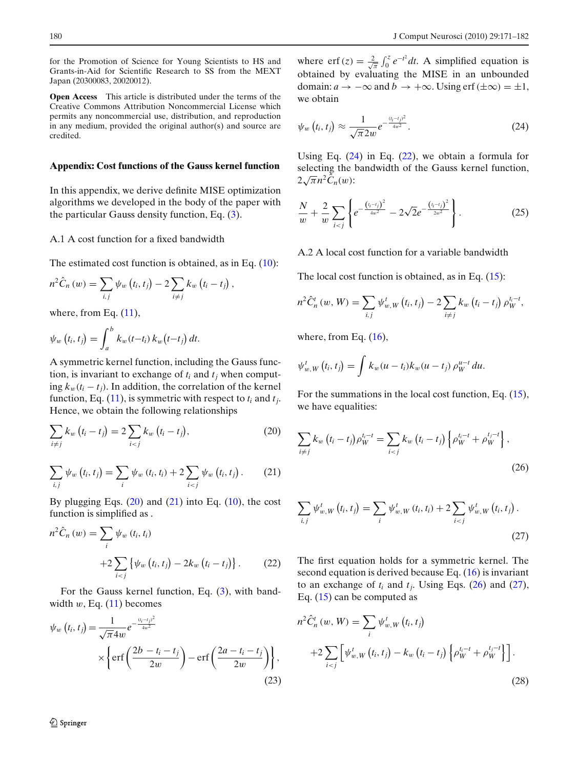<span id="page-9-0"></span>for the Promotion of Science for Young Scientists to HS and Grants-in-Aid for Scientific Research to SS from the MEXT Japan (20300083, 20020012).

**Open Access** This article is distributed under the terms of the Creative Commons Attribution Noncommercial License which permits any noncommercial use, distribution, and reproduction in any medium, provided the original author(s) and source are credited.

#### **Appendix: Cost functions of the Gauss kernel function**

In this appendix, we derive definite MISE optimization algorithms we developed in the body of the paper with the particular Gauss density function, Eq. [\(3\)](#page-1-0).

#### A.1 A cost function for a fixed bandwidth

The estimated cost function is obtained, as in Eq. [\(10\)](#page-2-0):

$$
n^{2}\hat{C}_{n}(w) = \sum_{i,j} \psi_{w}(t_{i}, t_{j}) - 2 \sum_{i \neq j} k_{w}(t_{i} - t_{j}),
$$

where, from Eq.  $(11)$ ,

$$
\psi_w(t_i, t_j) = \int_a^b k_w(t - t_i) k_w(t - t_j) dt.
$$

A symmetric kernel function, including the Gauss function, is invariant to exchange of  $t_i$  and  $t_j$  when computing  $k_w(t_i - t_j)$ . In addition, the correlation of the kernel function, Eq.  $(11)$ , is symmetric with respect to  $t_i$  and  $t_j$ . Hence, we obtain the following relationships

$$
\sum_{i \neq j} k_w (t_i - t_j) = 2 \sum_{i < j} k_w (t_i - t_j), \tag{20}
$$

$$
\sum_{i,j} \psi_w(t_i, t_j) = \sum_i \psi_w(t_i, t_i) + 2 \sum_{i < j} \psi_w(t_i, t_j). \tag{21}
$$

By plugging Eqs.  $(20)$  and  $(21)$  into Eq.  $(10)$ , the cost function is simplified as .

$$
n^{2}\hat{C}_{n}(w) = \sum_{i} \psi_{w}(t_{i}, t_{i}) +2 \sum_{i < j} {\psi_{w}(t_{i}, t_{j}) - 2k_{w}(t_{i} - t_{j})}.
$$
 (22)

For the Gauss kernel function, Eq. [\(3\)](#page-1-0), with bandwidth  $w$ , Eq.  $(11)$  becomes

$$
\psi_w(t_i, t_j) = \frac{1}{\sqrt{\pi}4w} e^{-\frac{(t_i - t_j)^2}{4w^2}} \times \left\{ erf\left(\frac{2b - t_i - t_j}{2w}\right) - erf\left(\frac{2a - t_i - t_j}{2w}\right) \right\},\tag{23}
$$

where erf(*z*) =  $\frac{2}{\sqrt{\pi}} \int_0^z e^{-t^2} dt$ . A simplified equation is obtained by evaluating the MISE in an unbounded domain:  $a \to -\infty$  and  $b \to +\infty$ . Using erf ( $\pm \infty$ ) =  $\pm 1$ . we obtain

$$
\psi_w\left(t_i,t_j\right) \approx \frac{1}{\sqrt{\pi} 2w} e^{-\frac{\left(t_i-t_j\right)^2}{4w^2}}.
$$
\n(24)

Using Eq.  $(24)$  in Eq.  $(22)$ , we obtain a formula for selecting the bandwidth of the Gauss kernel function,  $2\sqrt{\pi}n^2\hat{C}_n(w)$ :

$$
\frac{N}{w} + \frac{2}{w} \sum_{i < j} \left\{ e^{-\frac{\left(t_i - t_j\right)^2}{4w^2}} - 2\sqrt{2} e^{-\frac{\left(t_i - t_j\right)^2}{2w^2}} \right\} . \tag{25}
$$

A.2 A local cost function for a variable bandwidth

The local cost function is obtained, as in Eq.  $(15)$ :

$$
n^{2}\hat{C}_{n}^{t}(w, W) = \sum_{i,j} \psi_{w, W}^{t}(t_{i}, t_{j}) - 2\sum_{i \neq j} k_{w}(t_{i} - t_{j}) \rho_{W}^{t_{i} - t},
$$

where, from Eq.  $(16)$ ,

$$
\psi_{w,W}^t(t_i,t_j)=\int k_w(u-t_i)k_w(u-t_j)\,\rho_W^{u-t}\,du.
$$

For the summations in the local cost function, Eq. [\(15\)](#page-3-0), we have equalities:

$$
\sum_{i \neq j} k_w (t_i - t_j) \rho_W^{t_i - t} = \sum_{i < j} k_w (t_i - t_j) \left\{ \rho_W^{t_i - t} + \rho_W^{t_j - t} \right\},\tag{26}
$$

$$
\sum_{i,j} \psi_{w,W}^{t} (t_i, t_j) = \sum_{i} \psi_{w,W}^{t} (t_i, t_i) + 2 \sum_{i < j} \psi_{w,W}^{t} (t_i, t_j).
$$
\n(27)

The first equation holds for a symmetric kernel. The second equation is derived because Eq.  $(16)$  is invariant to an exchange of  $t_i$  and  $t_j$ . Using Eqs. (26) and (27), Eq. [\(15\)](#page-3-0) can be computed as

$$
n^{2}\hat{C}_{n}^{t}(w, W) = \sum_{i} \psi_{w, W}^{t}(t_{i}, t_{j})
$$
  
+2
$$
\sum_{i < j} \left[ \psi_{w, W}^{t}(t_{i}, t_{j}) - k_{w} (t_{i} - t_{j}) \left\{ \rho_{W}^{t-t} + \rho_{W}^{t_{j}-t} \right\} \right].
$$
\n(28)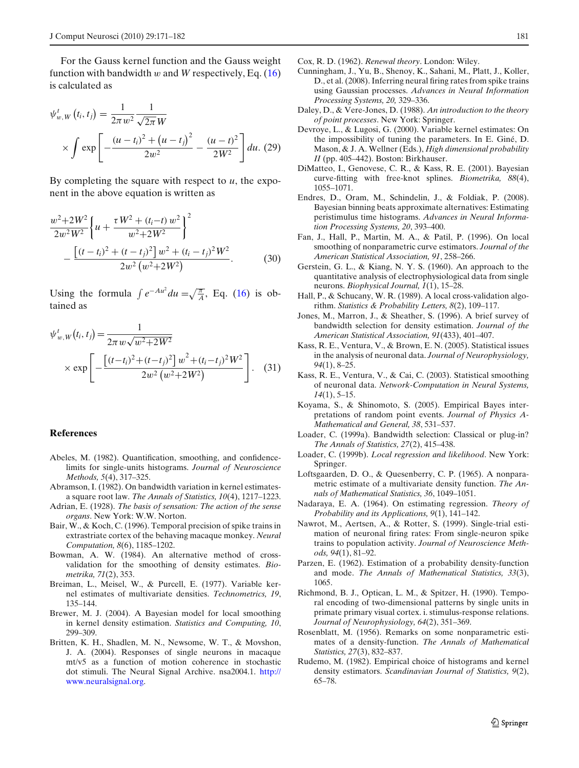<span id="page-10-0"></span>For the Gauss kernel function and the Gauss weight function with bandwidth w and *W* respectively, Eq.  $(16)$ is calculated as

$$
\psi_{w,W}^{t}(t_i, t_j) = \frac{1}{2\pi w^2} \frac{1}{\sqrt{2\pi W}}
$$

$$
\times \int \exp\left[-\frac{(u - t_i)^2 + (u - t_j)^2}{2w^2} - \frac{(u - t)^2}{2W^2}\right] du. (29)
$$

By completing the square with respect to *u*, the exponent in the above equation is written as

$$
\frac{w^2 + 2W^2}{2w^2W^2} \left\{ u + \frac{\tau W^2 + (t_i - t) w^2}{w^2 + 2W^2} \right\}^2 - \frac{\left[ (t - t_i)^2 + (t - t_j)^2 \right] w^2 + (t_i - t_j)^2 W^2}{2w^2 \left( w^2 + 2W^2 \right)}.
$$
(30)

Using the formula  $\int e^{-Au^2} du = \sqrt{\frac{\pi}{A}}$ , Eq. [\(16\)](#page-3-0) is obtained as

$$
\psi_{w,W}^t(t_i, t_j) = \frac{1}{2\pi w \sqrt{w^2 + 2W^2}}\n\times \exp\left[-\frac{\left[(t - t_i)^2 + (t - t_j)^2\right]w^2 + (t_i - t_j)^2W^2}{2w^2\left(w^2 + 2W^2\right)}\right].
$$
 (31)

#### **References**

- Abeles, M. (1982). Quantification, smoothing, and confidencelimits for single-units histograms. *Journal of Neuroscience Methods, 5*(4), 317–325.
- Abramson, I. (1982). On bandwidth variation in kernel estimatesa square root law. *The Annals of Statistics, 10*(4), 1217–1223.
- Adrian, E. (1928). *The basis of sensation: The action of the sense organs*. New York: W.W. Norton.
- Bair, W., & Koch, C. (1996). Temporal precision of spike trains in extrastriate cortex of the behaving macaque monkey. *Neural Computation, 8*(6), 1185–1202.
- Bowman, A. W. (1984). An alternative method of crossvalidation for the smoothing of density estimates. *Biometrika, 71*(2), 353.
- Breiman, L., Meisel, W., & Purcell, E. (1977). Variable kernel estimates of multivariate densities. *Technometrics, 19*, 135–144.
- Brewer, M. J. (2004). A Bayesian model for local smoothing in kernel density estimation. *Statistics and Computing, 10*, 299–309.
- Britten, K. H., Shadlen, M. N., Newsome, W. T., & Movshon, J. A. (2004). Responses of single neurons in macaque mt/v5 as a function of motion coherence in stochastic dot stimuli. The Neural Signal Archive. nsa2004.1. [http://](http://www.neuralsignal.org) [www.neuralsignal.org.](http://www.neuralsignal.org)

Cox, R. D. (1962). *Renewal theory*. London: Wiley.

- Cunningham, J., Yu, B., Shenoy, K., Sahani, M., Platt, J., Koller, D., et al. (2008). Inferring neural firing rates from spike trains using Gaussian processes. *Advances in Neural Information Processing Systems, 20,* 329–336.
- Daley, D., & Vere-Jones, D. (1988). *An introduction to the theory of point processes*. New York: Springer.
- Devroye, L., & Lugosi, G. (2000). Variable kernel estimates: On the impossibility of tuning the parameters. In E. Giné, D. Mason, & J. A. Wellner (Eds.), *High dimensional probability II* (pp. 405–442). Boston: Birkhauser.
- DiMatteo, I., Genovese, C. R., & Kass, R. E. (2001). Bayesian curve-fitting with free-knot splines. *Biometrika, 88*(4), 1055–1071.
- Endres, D., Oram, M., Schindelin, J., & Foldiak, P. (2008). Bayesian binning beats approximate alternatives: Estimating peristimulus time histograms. *Advances in Neural Information Processing Systems, 20*, 393–400.
- Fan, J., Hall, P., Martin, M. A., & Patil, P. (1996). On local smoothing of nonparametric curve estimators. *Journal of the American Statistical Association, 91*, 258–266.
- Gerstein, G. L., & Kiang, N. Y. S. (1960). An approach to the quantitative analysis of electrophysiological data from single neurons. *Biophysical Journal, 1*(1), 15–28.
- Hall, P., & Schucany, W. R. (1989). A local cross-validation algorithm. *Statistics & Probability Letters, 8*(2), 109–117.
- Jones, M., Marron, J., & Sheather, S. (1996). A brief survey of bandwidth selection for density estimation. *Journal of the American Statistical Association, 91*(433), 401–407.
- Kass, R. E., Ventura, V., & Brown, E. N. (2005). Statistical issues in the analysis of neuronal data. *Journal of Neurophysiology, 94*(1), 8–25.
- Kass, R. E., Ventura, V., & Cai, C. (2003). Statistical smoothing of neuronal data. *Network-Computation in Neural Systems, 14*(1), 5–15.
- Koyama, S., & Shinomoto, S. (2005). Empirical Bayes interpretations of random point events. *Journal of Physics A-Mathematical and General, 38*, 531–537.
- Loader, C. (1999a). Bandwidth selection: Classical or plug-in? *The Annals of Statistics, 27*(2), 415–438.
- Loader, C. (1999b). *Local regression and likelihood*. New York: Springer.
- Loftsgaarden, D. O., & Quesenberry, C. P. (1965). A nonparametric estimate of a multivariate density function. *The Annals of Mathematical Statistics, 36*, 1049–1051.
- Nadaraya, E. A. (1964). On estimating regression. *Theory of Probability and its Applications, 9*(1), 141–142.
- Nawrot, M., Aertsen, A., & Rotter, S. (1999). Single-trial estimation of neuronal firing rates: From single-neuron spike trains to population activity. *Journal of Neuroscience Methods, 94*(1), 81–92.
- Parzen, E. (1962). Estimation of a probability density-function and mode. *The Annals of Mathematical Statistics, 33*(3), 1065.
- Richmond, B. J., Optican, L. M., & Spitzer, H. (1990). Temporal encoding of two-dimensional patterns by single units in primate primary visual cortex. i. stimulus-response relations. *Journal of Neurophysiology, 64*(2), 351–369.
- Rosenblatt, M. (1956). Remarks on some nonparametric estimates of a density-function. *The Annals of Mathematical Statistics, 27*(3), 832–837.
- Rudemo, M. (1982). Empirical choice of histograms and kernel density estimators. *Scandinavian Journal of Statistics, 9*(2), 65–78.